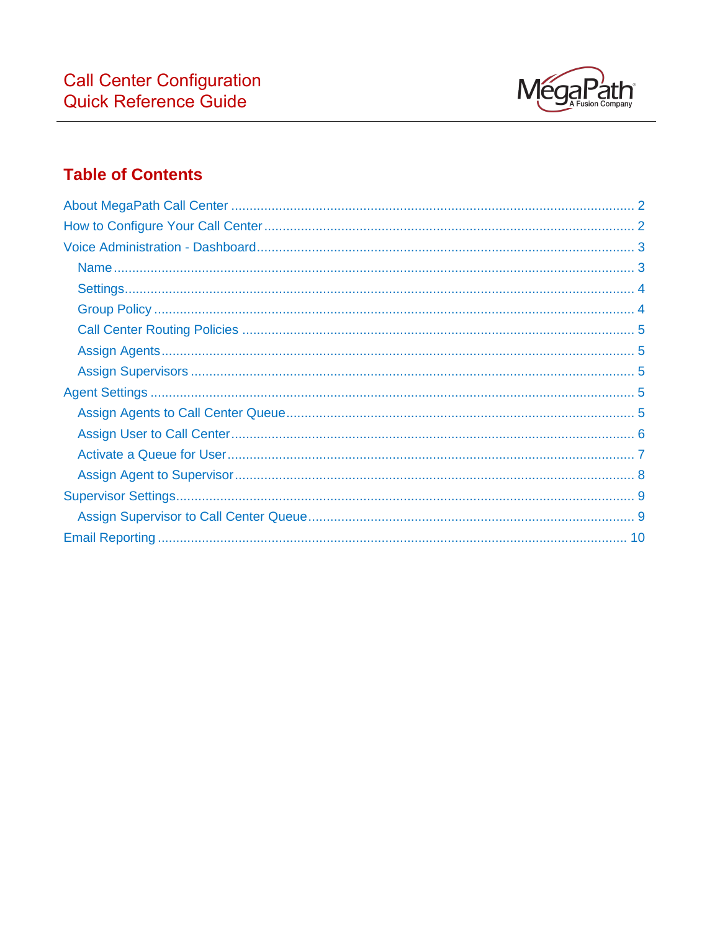

# **Table of Contents**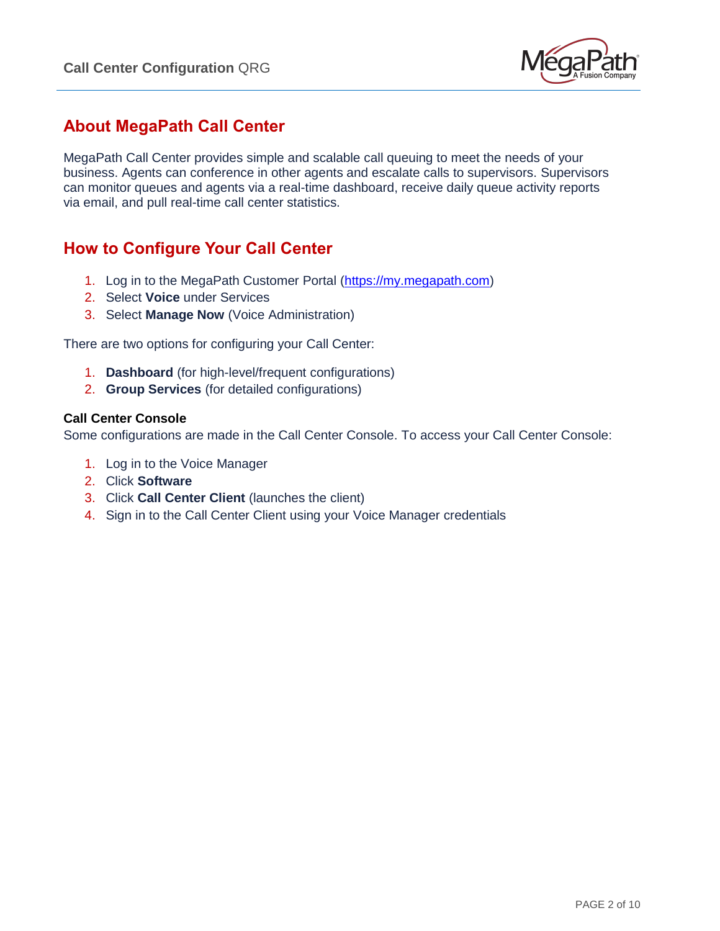

## <span id="page-1-0"></span>**About MegaPath Call Center**

MegaPath Call Center provides simple and scalable call queuing to meet the needs of your business. Agents can conference in other agents and escalate calls to supervisors. Supervisors can monitor queues and agents via a real-time dashboard, receive daily queue activity reports via email, and pull real-time call center statistics.

## <span id="page-1-1"></span>**How to Configure Your Call Center**

- 1. Log in to the MegaPath Customer Portal [\(https://my.megapath.com\)](https://my.megapath.com/)
- 2. Select **Voice** under Services
- 3. Select **Manage Now** (Voice Administration)

There are two options for configuring your Call Center:

- 1. **Dashboard** (for high-level/frequent configurations)
- 2. **Group Services** (for detailed configurations)

#### **Call Center Console**

Some configurations are made in the Call Center Console. To access your Call Center Console:

- 1. Log in to the Voice Manager
- 2. Click **Software**
- 3. Click **Call Center Client** (launches the client)
- 4. Sign in to the Call Center Client using your Voice Manager credentials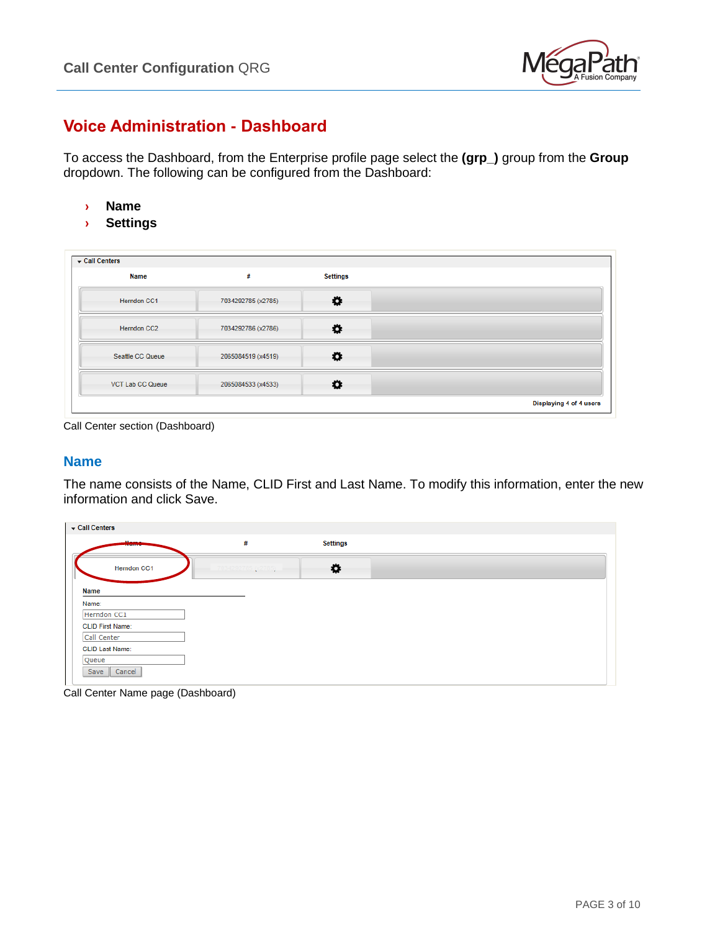

## <span id="page-2-0"></span>**Voice Administration - Dashboard**

To access the Dashboard, from the Enterprise profile page select the **(grp\_)** group from the **Group** dropdown. The following can be configured from the Dashboard:

- **› Name**
- **› Settings**

| <b>Name</b>             | #                  | Settings |  |
|-------------------------|--------------------|----------|--|
| <b>Herndon CC1</b>      | 7034292785 (x2785) | ۰        |  |
| <b>Herndon CC2</b>      | 7034292786 (x2786) | ۰        |  |
| Seattle CC Queue        | 2065084519 (x4519) | ۰        |  |
| <b>VCT Lab CC Queue</b> | 2065084533 (x4533) | ۰        |  |

<span id="page-2-1"></span>Call Center section (Dashboard)

#### **Name**

The name consists of the Name, CLID First and Last Name. To modify this information, enter the new information and click Save.

| Call Centers            |   |                 |  |
|-------------------------|---|-----------------|--|
| $11 -$                  | # | <b>Settings</b> |  |
| <b>Herndon CC1</b>      |   | ٠               |  |
| <b>Name</b>             |   |                 |  |
| Name:                   |   |                 |  |
| Herndon CC1             |   |                 |  |
| <b>CLID First Name:</b> |   |                 |  |
| Call Center             |   |                 |  |
| <b>CLID Last Name:</b>  |   |                 |  |
| Queue                   |   |                 |  |
| Cancel<br>Save          |   |                 |  |
|                         |   |                 |  |

Call Center Name page (Dashboard)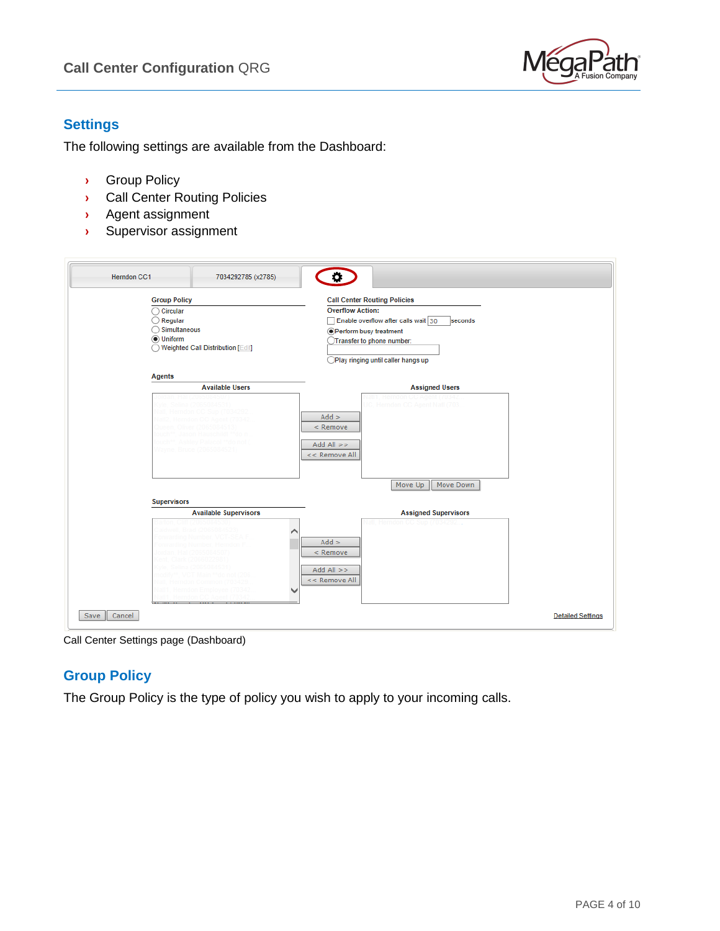

### <span id="page-3-0"></span>**Settings**

The following settings are available from the Dashboard:

- **›** Group Policy
- **›** Call Center Routing Policies
- **›** Agent assignment
- **›** Supervisor assignment

| <b>Herndon CC1</b>                                                                                     | 7034292785 (x2785)                          | $\bullet$                                                                                                                                                                                                             |
|--------------------------------------------------------------------------------------------------------|---------------------------------------------|-----------------------------------------------------------------------------------------------------------------------------------------------------------------------------------------------------------------------|
| <b>Group Policy</b><br>$\bigcirc$ Circular<br>$\bigcirc$ Regular<br>◯ Simultaneous<br><b>O</b> Uniform | ◯ Weighted Call Distribution [Edit]         | <b>Call Center Routing Policies</b><br><b>Overflow Action:</b><br>Enable overflow after calls wait 30<br>seconds<br><b>OPerform busy treatment</b><br>Transfer to phone number:<br>Play ringing until caller hangs up |
| Agents                                                                                                 | <b>Available Users</b>                      | <b>Assigned Users</b>                                                                                                                                                                                                 |
|                                                                                                        | ina (206508453<br>Navne, Bruce (2065084521) | latl1, Herndon CC Agent (70342<br>UC, Herndon CC Agent Natl (703<br>$Add$ ><br>< Remove<br>$Add All$ >><br><< Remove All<br>Move Up<br>Move Down                                                                      |
| <b>Supervisors</b>                                                                                     |                                             |                                                                                                                                                                                                                       |
|                                                                                                        | <b>Available Supervisors</b>                | <b>Assigned Supervisors</b>                                                                                                                                                                                           |
|                                                                                                        |                                             | Herndon<br>$Add$ ><br>$<$ Remove<br>$Add All$ >><br><< Remove All                                                                                                                                                     |
| Cancel<br>Save                                                                                         |                                             | <b>Detailed Settings</b>                                                                                                                                                                                              |

<span id="page-3-1"></span>Call Center Settings page (Dashboard)

## **Group Policy**

The Group Policy is the type of policy you wish to apply to your incoming calls.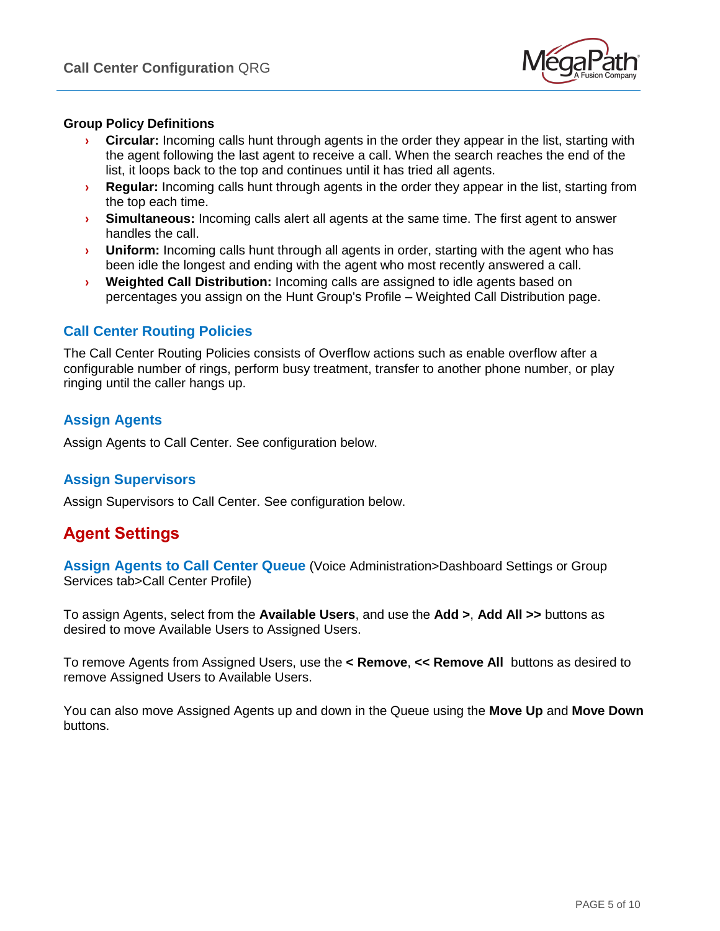

#### **Group Policy Definitions**

- **› Circular:** Incoming calls hunt through agents in the order they appear in the list, starting with the agent following the last agent to receive a call. When the search reaches the end of the list, it loops back to the top and continues until it has tried all agents.
- **› Regular:** Incoming calls hunt through agents in the order they appear in the list, starting from the top each time.
- **› Simultaneous:** Incoming calls alert all agents at the same time. The first agent to answer handles the call.
- **› Uniform:** Incoming calls hunt through all agents in order, starting with the agent who has been idle the longest and ending with the agent who most recently answered a call.
- **› Weighted Call Distribution:** Incoming calls are assigned to idle agents based on percentages you assign on the Hunt Group's Profile – Weighted Call Distribution page.

#### <span id="page-4-0"></span>**Call Center Routing Policies**

The Call Center Routing Policies consists of Overflow actions such as enable overflow after a configurable number of rings, perform busy treatment, transfer to another phone number, or play ringing until the caller hangs up.

### <span id="page-4-1"></span>**Assign Agents**

<span id="page-4-2"></span>Assign Agents to Call Center. See configuration below.

### **Assign Supervisors**

Assign Supervisors to Call Center. See configuration below.

## <span id="page-4-3"></span>**Agent Settings**

<span id="page-4-4"></span>**Assign Agents to Call Center Queue** (Voice Administration>Dashboard Settings or Group Services tab>Call Center Profile)

To assign Agents, select from the **Available Users**, and use the **Add >**, **Add All >>** buttons as desired to move Available Users to Assigned Users.

To remove Agents from Assigned Users, use the **< Remove**, **<< Remove All** buttons as desired to remove Assigned Users to Available Users.

You can also move Assigned Agents up and down in the Queue using the **Move Up** and **Move Down** buttons.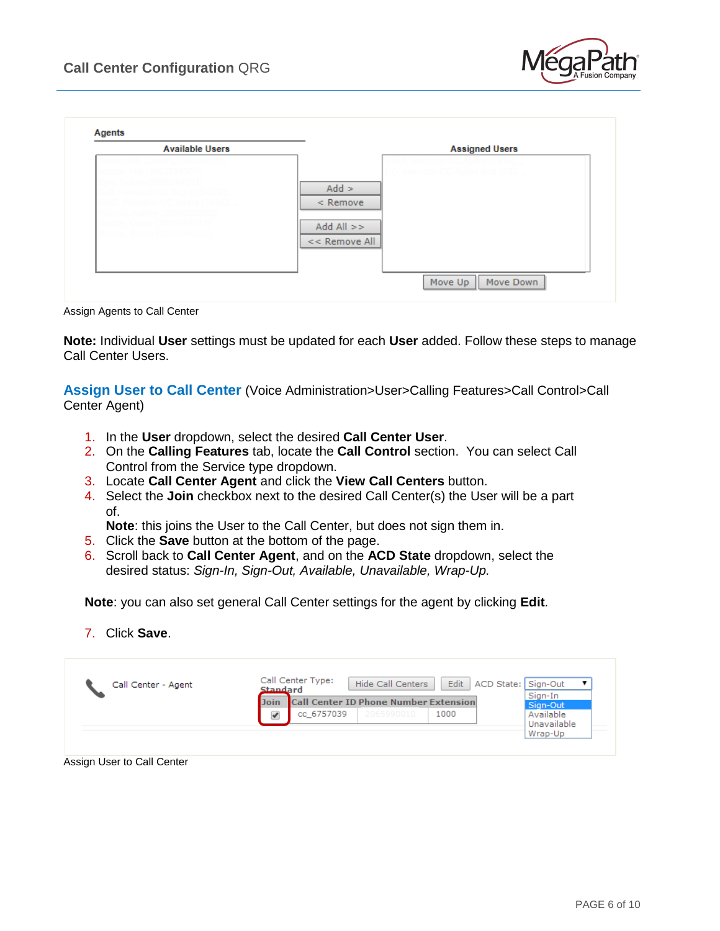

| <b>Available Users</b> | <b>Assigned Users</b>                                   |
|------------------------|---------------------------------------------------------|
|                        | $Add$ ><br>$<$ Remove<br>$Add All \gg$<br><< Remove All |

Assign Agents to Call Center

**Note:** Individual **User** settings must be updated for each **User** added. Follow these steps to manage Call Center Users.

<span id="page-5-0"></span>**Assign User to Call Center** (Voice Administration>User>Calling Features>Call Control>Call Center Agent)

- 1. In the **User** dropdown, select the desired **Call Center User**.
- 2. On the **Calling Features** tab, locate the **Call Control** section. You can select Call Control from the Service type dropdown.
- 3. Locate **Call Center Agent** and click the **View Call Centers** button.
- 4. Select the **Join** checkbox next to the desired Call Center(s) the User will be a part of.

**Note**: this joins the User to the Call Center, but does not sign them in.

- 5. Click the **Save** button at the bottom of the page.
- 6. Scroll back to **Call Center Agent**, and on the **ACD State** dropdown, select the desired status: *Sign-In, Sign-Out, Available, Unavailable, Wrap-Up.*

**Note**: you can also set general Call Center settings for the agent by clicking **Edit**.

7. Click **Save**.

| Call Center - Agent | Call Center Type:<br>Edit<br><b>Hide Call Centers</b><br>ACD State: Sign-Out<br><b>Standard</b> |             |
|---------------------|-------------------------------------------------------------------------------------------------|-------------|
|                     | <b>Call Center ID Phone Number Extension</b><br>Join                                            | Sign-In     |
|                     |                                                                                                 | Sign-Out    |
|                     | cc 6757039<br>1000<br>✔<br>2065990010                                                           | Available   |
|                     |                                                                                                 | Unavailable |
|                     |                                                                                                 | Wrap-Up     |

Assign User to Call Center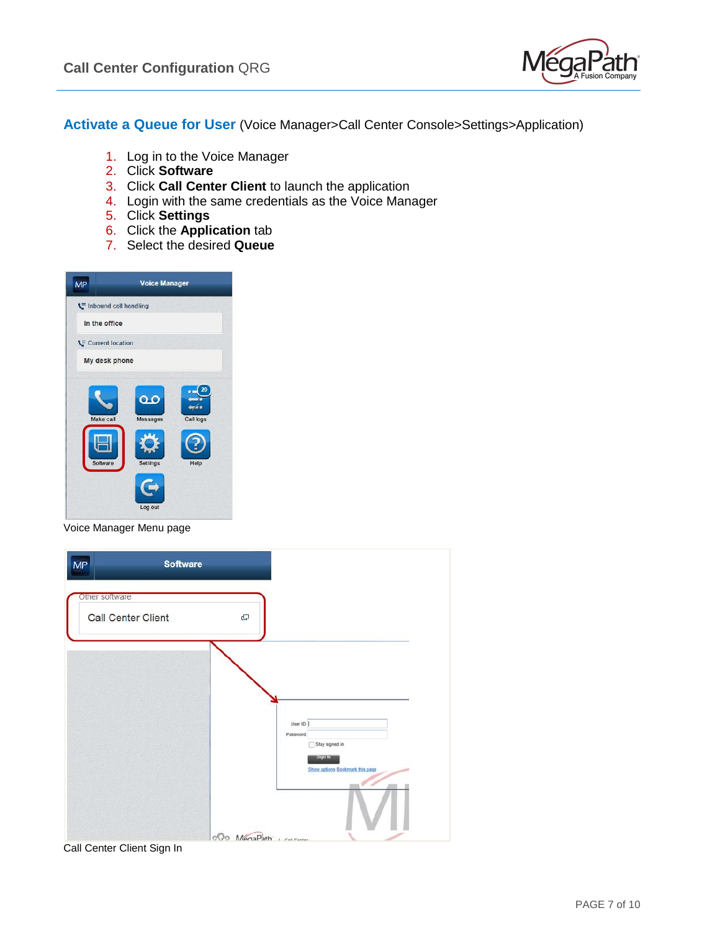

<span id="page-6-0"></span>**Activate a Queue for User** (Voice Manager>Call Center Console>Settings>Application)

- 1. Log in to the Voice Manager
- 2. Click **Software**
- 3. Click **Call Center Client** to launch the application
- 4. Login with the same credentials as the Voice Manager
- 5. Click **Settings**
- 6. Click the **Application** tab
- 7. Select the desired **Queue**

| <b>MP</b>             | <b>Voice Manager</b>                                              |                         |
|-----------------------|-------------------------------------------------------------------|-------------------------|
| Inbound call handling |                                                                   |                         |
| In the office         |                                                                   |                         |
| Current location      |                                                                   |                         |
| My desk phone         |                                                                   |                         |
| Make call<br>Software | $\overline{\mathbf{a}}$<br>Messages<br><b>Settings</b><br>Log out | 20<br>Call logs<br>Help |

Voice Manager Menu page

| MP<br><b>Software</b>                |                                                                                     |
|--------------------------------------|-------------------------------------------------------------------------------------|
| Other software<br>Call Center Client | e                                                                                   |
|                                      | User ID<br>Password<br>Stay signed in<br>Sign in<br>Show options Bookmark this page |
|                                      | $000 \text{ MénaPath}$ i call contact                                               |
| Call Center Client Sign In           |                                                                                     |

PAGE 7 of 10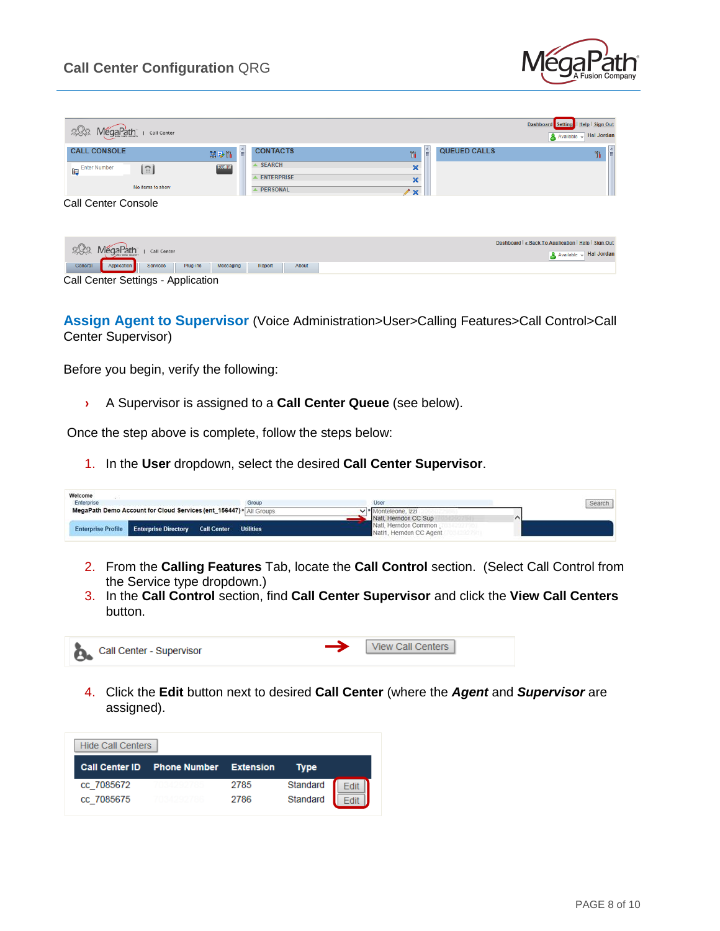

| MegaPath<br>Call Center                               |                                              | Help Sign Out<br><b>Dashboard</b><br>Settings<br>Available v Hal Jordan |
|-------------------------------------------------------|----------------------------------------------|-------------------------------------------------------------------------|
|                                                       |                                              |                                                                         |
| <b>CALL CONSOLE</b>                                   | $\hat{\mathbb{E}}$<br><b>CONTACTS</b><br>的影片 | $\overline{\mathbb{H}}$<br>쉌<br>QUEUED CALLS<br>Ył<br>Ył                |
| <b>Enter Number</b><br>[ဒ]<br>Ę                       | <b>SEARCH</b><br>Redial                      | ×                                                                       |
|                                                       | <b>ENTERPRISE</b>                            | $\boldsymbol{\mathsf{x}}$                                               |
| No items to show                                      | <b>PERSONAL</b>                              | / x                                                                     |
| <b>Call Center Console</b>                            |                                              |                                                                         |
|                                                       |                                              |                                                                         |
|                                                       |                                              | Dashboard   « Back To Application   Help   Sign Out                     |
| MégaPath<br>Call Center                               |                                              | Available $\overline{\mathbb{R}}$ Hal Jordan                            |
| Application<br>General<br><b>Services</b><br>Plug-ins | About<br>Messaging<br>Report                 |                                                                         |

Call Center Settings - Application

<span id="page-7-0"></span>**Assign Agent to Supervisor** (Voice Administration>User>Calling Features>Call Control>Call Center Supervisor)

Before you begin, verify the following:

**›** A Supervisor is assigned to a **Call Center Queue** (see below).

Once the step above is complete, follow the steps below:

1. In the **User** dropdown, select the desired **Call Center Supervisor**.

| Welcome                                                              |       |                                                     |        |
|----------------------------------------------------------------------|-------|-----------------------------------------------------|--------|
| Enterprise                                                           | Group | User                                                | Search |
| MegaPath Demo Account for Cloud Services (ent_156447) > All Groups   |       | $\vee$ * Monteleone, $ zz $<br>Natl, Herndon CC Sup |        |
| <b>Enterprise Profile Enterprise Directory Call Center Utilities</b> |       | Natl. Herndon Common<br>Natl1, Herndon CC Agent     |        |

- 2. From the **Calling Features** Tab, locate the **Call Control** section. (Select Call Control from the Service type dropdown.)
- 3. In the **Call Control** section, find **Call Center Supervisor** and click the **View Call Centers** button.



4. Click the **Edit** button next to desired **Call Center** (where the *Agent* and *Supervisor* are assigned).

| <b>Hide Call Centers</b> |                               |      |          |  |
|--------------------------|-------------------------------|------|----------|--|
| <b>Call Center ID</b>    | <b>Phone Number Extension</b> |      | Type     |  |
| cc 7085672               |                               | 2785 | Standard |  |
| cc 7085675               |                               | 2786 | Standard |  |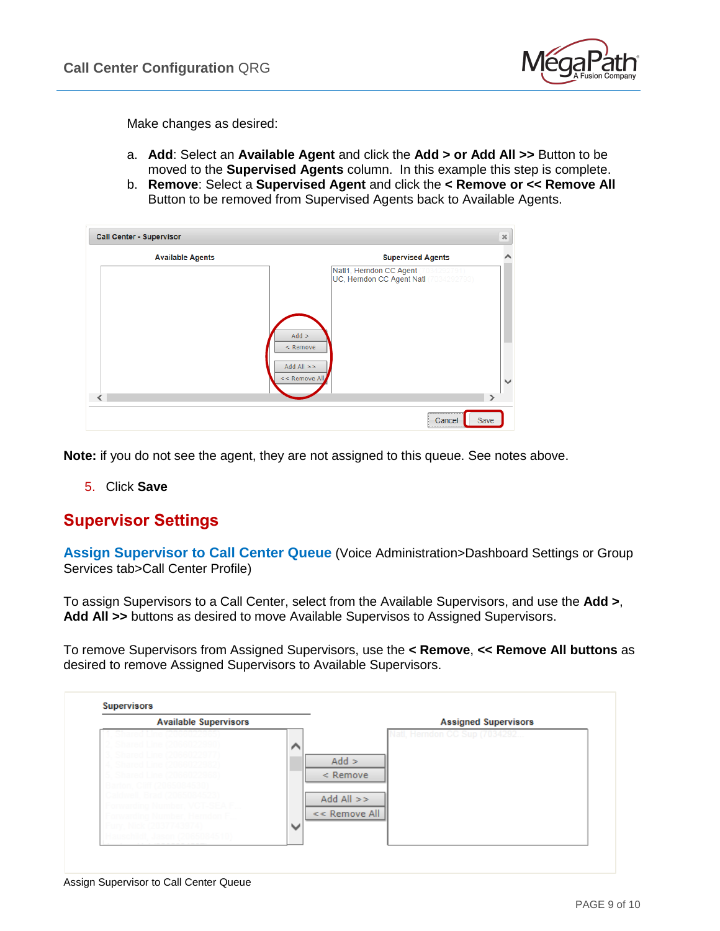

Make changes as desired:

- a. **Add**: Select an **Available Agent** and click the **Add > or Add All >>** Button to be moved to the **Supervised Agents** column. In this example this step is complete.
- b. **Remove**: Select a **Supervised Agent** and click the **< Remove or << Remove All** Button to be removed from Supervised Agents back to Available Agents.

| <b>Call Center - Supervisor</b> |                                                                                                                | $36\,$        |
|---------------------------------|----------------------------------------------------------------------------------------------------------------|---------------|
| <b>Available Agents</b>         | <b>Supervised Agents</b>                                                                                       |               |
|                                 | Natl1, Herndon CC Agent<br>UC, Herndon CC Agent Natl 7<br>$Add$ ><br>< Remove<br>$Add All$ >><br><< Remove All | $\checkmark$  |
|                                 |                                                                                                                | $\rightarrow$ |
|                                 | Save<br>Cancel<br>                                                                                             |               |

**Note:** if you do not see the agent, they are not assigned to this queue. See notes above.

5. Click **Save**

## <span id="page-8-0"></span>**Supervisor Settings**

<span id="page-8-1"></span>**Assign Supervisor to Call Center Queue** (Voice Administration>Dashboard Settings or Group Services tab>Call Center Profile)

To assign Supervisors to a Call Center, select from the Available Supervisors, and use the **Add >**, **Add All >>** buttons as desired to move Available Supervisos to Assigned Supervisors.

To remove Supervisors from Assigned Supervisors, use the **< Remove**, **<< Remove All buttons** as desired to remove Assigned Supervisors to Available Supervisors.



Assign Supervisor to Call Center Queue